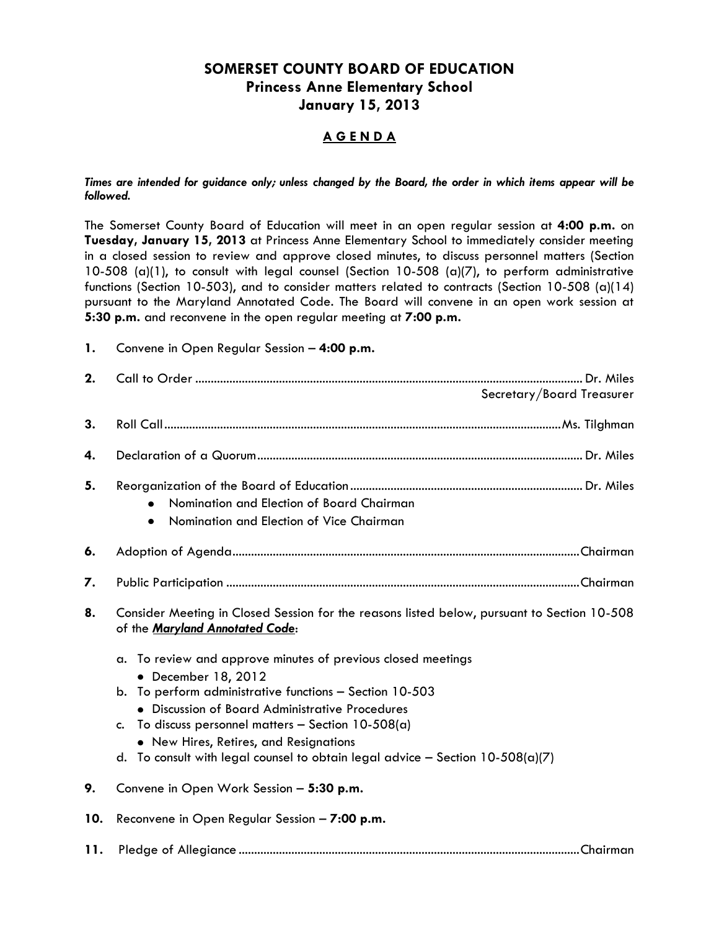### **SOMERSET COUNTY BOARD OF EDUCATION Princess Anne Elementary School January 15, 2013**

### **A G E N D A**

*Times are intended for guidance only; unless changed by the Board, the order in which items appear will be followed.*

The Somerset County Board of Education will meet in an open regular session at **4:00 p.m.** on **Tuesday, January 15, 2013** at Princess Anne Elementary School to immediately consider meeting in a closed session to review and approve closed minutes, to discuss personnel matters (Section 10-508 (a)(1), to consult with legal counsel (Section 10-508 (a)(7), to perform administrative functions (Section 10-503), and to consider matters related to contracts (Section 10-508 (a)(14) pursuant to the Maryland Annotated Code. The Board will convene in an open work session at **5:30 p.m.** and reconvene in the open regular meeting at **7:00 p.m.**

| 1. |  |  |  |  | Convene in Open Regular Session - 4:00 p.m. |
|----|--|--|--|--|---------------------------------------------|
|----|--|--|--|--|---------------------------------------------|

| 2.  | Secretary/Board Treasurer                                                                                                      |  |  |  |
|-----|--------------------------------------------------------------------------------------------------------------------------------|--|--|--|
| 3.  |                                                                                                                                |  |  |  |
| 4.  |                                                                                                                                |  |  |  |
| 5.  | Nomination and Election of Board Chairman<br>$\bullet$<br>Nomination and Election of Vice Chairman<br>$\bullet$                |  |  |  |
| 6.  |                                                                                                                                |  |  |  |
| 7.  |                                                                                                                                |  |  |  |
| 8.  | Consider Meeting in Closed Session for the reasons listed below, pursuant to Section 10-508<br>of the Maryland Annotated Code: |  |  |  |
|     | To review and approve minutes of previous closed meetings<br>a.<br>• December 18, 2012                                         |  |  |  |
|     | To perform administrative functions - Section 10-503<br>b.<br>• Discussion of Board Administrative Procedures                  |  |  |  |
|     | To discuss personnel matters - Section $10-508(a)$<br>$c_{\cdot}$<br>• New Hires, Retires, and Resignations                    |  |  |  |
|     | To consult with legal counsel to obtain legal advice - Section $10-508(a)(7)$<br>d.                                            |  |  |  |
| 9.  | Convene in Open Work Session - 5:30 p.m.                                                                                       |  |  |  |
| 10. | Reconvene in Open Regular Session - 7:00 p.m.                                                                                  |  |  |  |
| 11. |                                                                                                                                |  |  |  |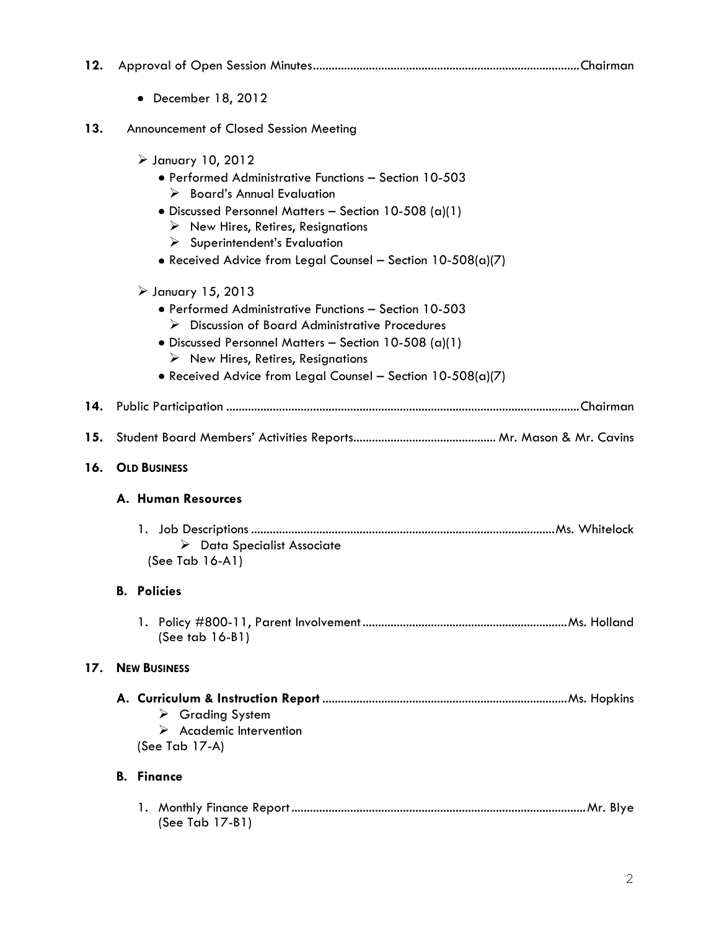| 12. |                                                                                                                                                                                                                                                                                                                                                                       |
|-----|-----------------------------------------------------------------------------------------------------------------------------------------------------------------------------------------------------------------------------------------------------------------------------------------------------------------------------------------------------------------------|
|     | December 18, 2012<br>٠                                                                                                                                                                                                                                                                                                                                                |
| 13. | Announcement of Closed Session Meeting                                                                                                                                                                                                                                                                                                                                |
|     | $\triangleright$ January 10, 2012<br>• Performed Administrative Functions - Section 10-503<br>$\triangleright$ Board's Annual Evaluation<br>• Discussed Personnel Matters - Section 10-508 (a)(1)<br>$\triangleright$ New Hires, Retires, Resignations<br>$\triangleright$ Superintendent's Evaluation<br>• Received Advice from Legal Counsel - Section 10-508(a)(7) |
|     | $\triangleright$ January 15, 2013<br>• Performed Administrative Functions - Section 10-503<br>$\triangleright$ Discussion of Board Administrative Procedures<br>· Discussed Personnel Matters - Section 10-508 (a)(1)<br>$\triangleright$ New Hires, Retires, Resignations<br>• Received Advice from Legal Counsel - Section 10-508(a)(7)                             |
| 14. |                                                                                                                                                                                                                                                                                                                                                                       |
| 15. |                                                                                                                                                                                                                                                                                                                                                                       |
| 16. | <b>OLD BUSINESS</b>                                                                                                                                                                                                                                                                                                                                                   |
|     | A. Human Resources                                                                                                                                                                                                                                                                                                                                                    |
|     | $\triangleright$ Data Specialist Associate<br>(See Tab 16-A1)                                                                                                                                                                                                                                                                                                         |
|     | <b>B.</b> Policies                                                                                                                                                                                                                                                                                                                                                    |
|     | (See tab $16-B1$ )                                                                                                                                                                                                                                                                                                                                                    |
| 17. | <b>NEW BUSINESS</b>                                                                                                                                                                                                                                                                                                                                                   |
|     | $\triangleright$ Grading System<br>$\triangleright$ Academic Intervention<br>(See Tab 17-A)                                                                                                                                                                                                                                                                           |
|     | <b>B.</b> Finance                                                                                                                                                                                                                                                                                                                                                     |
|     | (See Tab 17-B1)                                                                                                                                                                                                                                                                                                                                                       |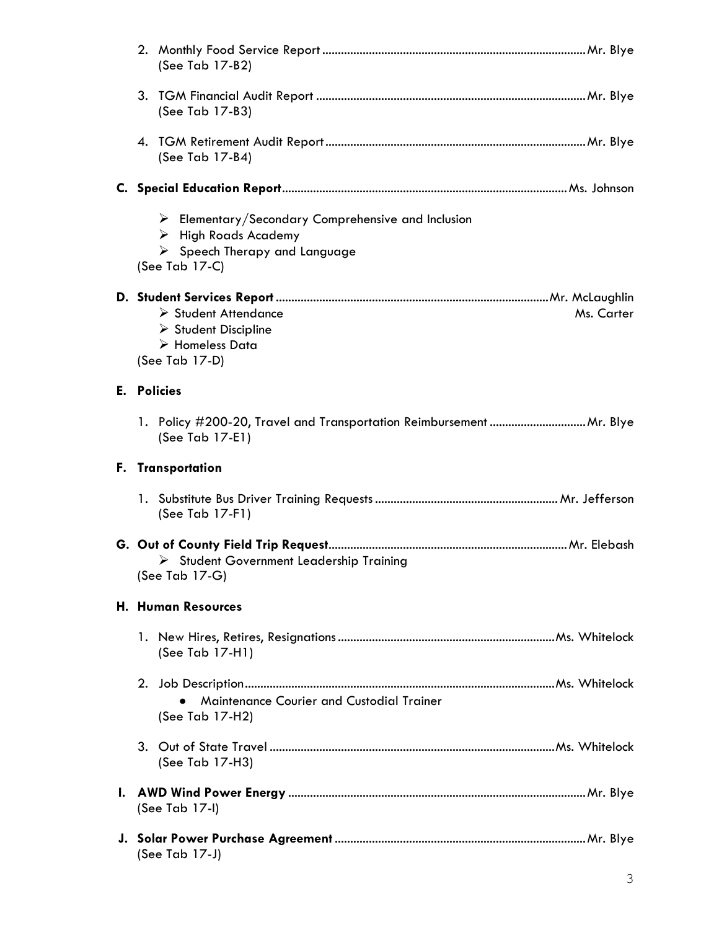|    | (See Tab 17-B2)                                                                                                                                                            |  |  |  |
|----|----------------------------------------------------------------------------------------------------------------------------------------------------------------------------|--|--|--|
|    | (See Tab 17-B3)                                                                                                                                                            |  |  |  |
|    | (See Tab 17-B4)                                                                                                                                                            |  |  |  |
|    |                                                                                                                                                                            |  |  |  |
|    | $\triangleright$ Elementary/Secondary Comprehensive and Inclusion<br>$\triangleright$ High Roads Academy<br>$\triangleright$ Speech Therapy and Language<br>(See Tab 17-C) |  |  |  |
|    |                                                                                                                                                                            |  |  |  |
|    | > Student Attendance<br>Ms. Carter                                                                                                                                         |  |  |  |
|    | $\triangleright$ Student Discipline<br>$\triangleright$ Homeless Data                                                                                                      |  |  |  |
|    | (See Tab 17-D)                                                                                                                                                             |  |  |  |
|    | <b>E.</b> Policies                                                                                                                                                         |  |  |  |
|    | (See Tab 17-E1)                                                                                                                                                            |  |  |  |
|    |                                                                                                                                                                            |  |  |  |
|    | F. Transportation                                                                                                                                                          |  |  |  |
|    | (See Tab 17-F1)                                                                                                                                                            |  |  |  |
|    |                                                                                                                                                                            |  |  |  |
|    | > Student Government Leadership Training<br>(See Tab 17-G)                                                                                                                 |  |  |  |
|    | <b>H. Human Resources</b>                                                                                                                                                  |  |  |  |
|    | (See Tab 17-H1)                                                                                                                                                            |  |  |  |
| 2. | Maintenance Courier and Custodial Trainer<br>(See Tab 17-H2)                                                                                                               |  |  |  |
| 3. | (See Tab 17-H3)                                                                                                                                                            |  |  |  |
|    | (See Tab $17-1$ )                                                                                                                                                          |  |  |  |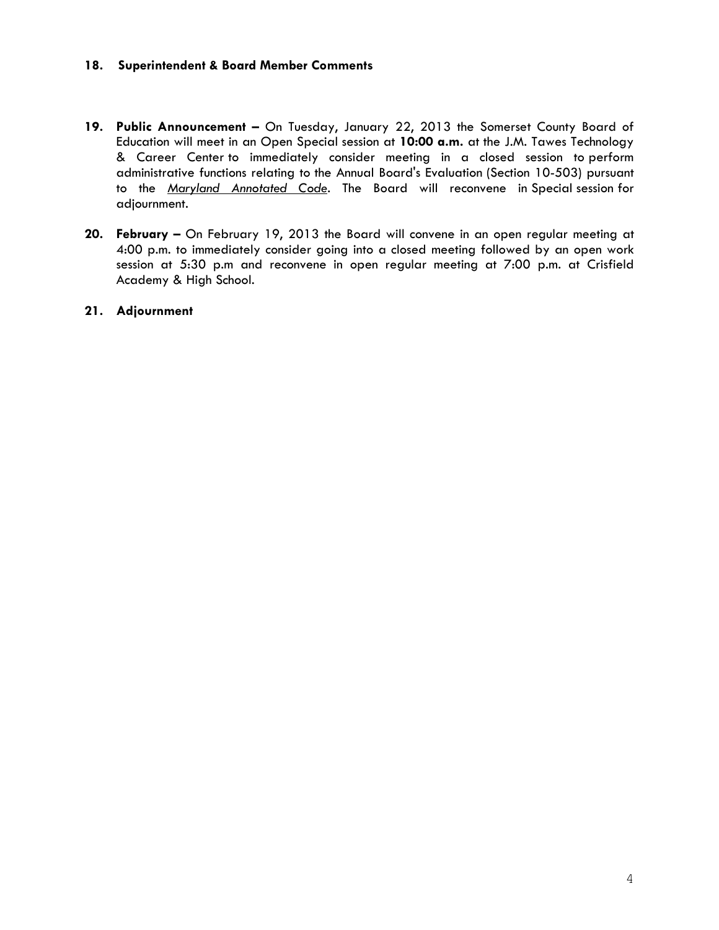### **18. Superintendent & Board Member Comments**

- **19. Public Announcement –** On Tuesday, January 22, 2013 the Somerset County Board of Education will meet in an Open Special session at **10:00 a.m.** at the J.M. Tawes Technology & Career Center to immediately consider meeting in a closed session to perform administrative functions relating to the Annual Board's Evaluation (Section 10-503) pursuant to the *Maryland Annotated Code*. The Board will reconvene in Special session for adjournment.
- **20. February –** On February 19, 2013 the Board will convene in an open regular meeting at 4:00 p.m. to immediately consider going into a closed meeting followed by an open work session at 5:30 p.m and reconvene in open regular meeting at 7:00 p.m. at Crisfield Academy & High School.

#### **21. Adjournment**